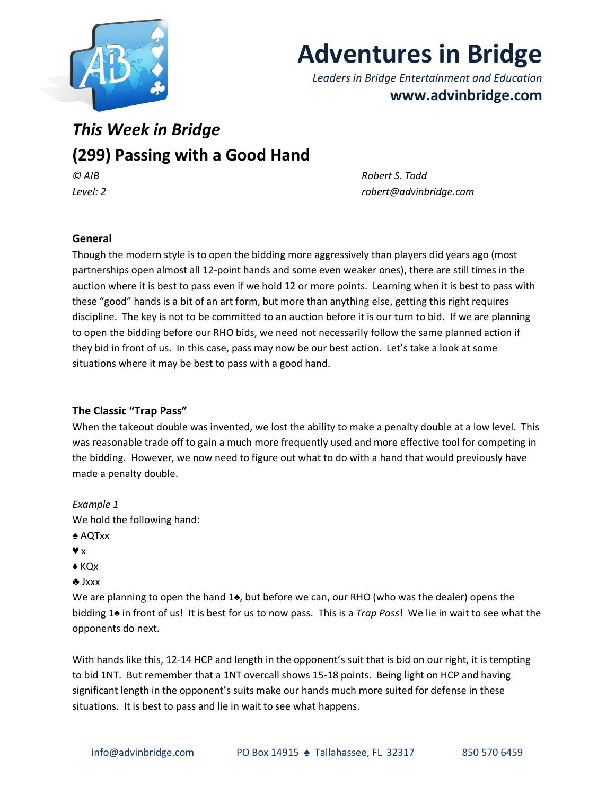

# **Adventures in Bridge**

*Leaders in Bridge Entertainment and Education* **www.advinbridge.com**

# *This Week in Bridge* **(299) Passing with a Good Hand** *© AIB Robert S. Todd*

*Level: 2 [robert@advinbridge.com](mailto:robert@advinbridge.com)* 

## **General**

Though the modern style is to open the bidding more aggressively than players did years ago (most partnerships open almost all 12-point hands and some even weaker ones), there are still times in the auction where it is best to pass even if we hold 12 or more points. Learning when it is best to pass with these "good" hands is a bit of an art form, but more than anything else, getting this right requires discipline. The key is not to be committed to an auction before it is our turn to bid. If we are planning to open the bidding before our RHO bids, we need not necessarily follow the same planned action if they bid in front of us. In this case, pass may now be our best action. Let's take a look at some situations where it may be best to pass with a good hand.

#### **The Classic "Trap Pass"**

When the takeout double was invented, we lost the ability to make a penalty double at a low level. This was reasonable trade off to gain a much more frequently used and more effective tool for competing in the bidding. However, we now need to figure out what to do with a hand that would previously have made a penalty double.

*Example 1* We hold the following hand:

- ♠ AQTxx
- ♥ x
- ♦ KQx
- ♣ Jxxx

We are planning to open the hand 1♠, but before we can, our RHO (who was the dealer) opens the bidding 1♠ in front of us! It is best for us to now pass. This is a *Trap Pass*! We lie in wait to see what the opponents do next.

With hands like this, 12-14 HCP and length in the opponent's suit that is bid on our right, it is tempting to bid 1NT. But remember that a 1NT overcall shows 15-18 points. Being light on HCP and having significant length in the opponent's suits make our hands much more suited for defense in these situations. It is best to pass and lie in wait to see what happens.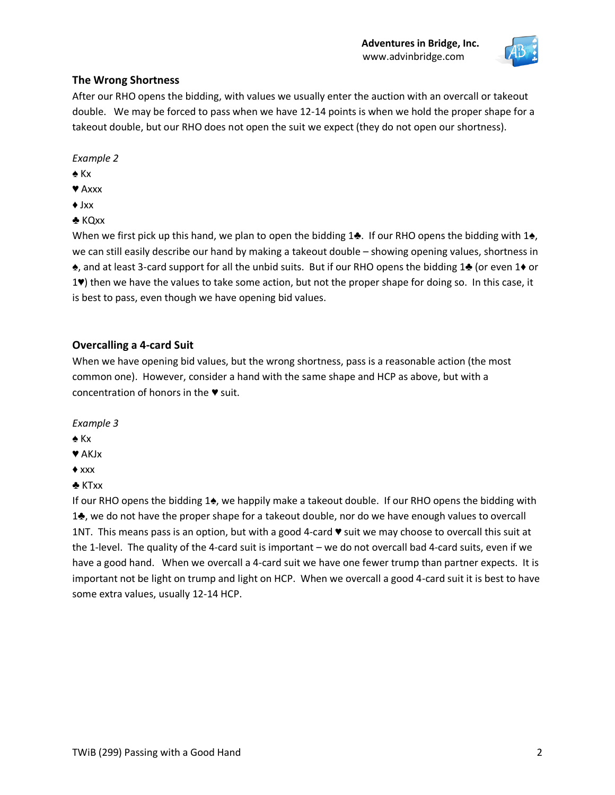

#### **The Wrong Shortness**

After our RHO opens the bidding, with values we usually enter the auction with an overcall or takeout double. We may be forced to pass when we have 12-14 points is when we hold the proper shape for a takeout double, but our RHO does not open the suit we expect (they do not open our shortness).

*Example 2*

- ♠ Kx
- ♥ Axxx
- ♦ Jxx
- ♣ KQxx

When we first pick up this hand, we plan to open the bidding 1♣. If our RHO opens the bidding with 1♠, we can still easily describe our hand by making a takeout double – showing opening values, shortness in ♠, and at least 3-card support for all the unbid suits. But if our RHO opens the bidding 1♣ (or even 1♦ or 1♥) then we have the values to take some action, but not the proper shape for doing so. In this case, it is best to pass, even though we have opening bid values.

#### **Overcalling a 4-card Suit**

When we have opening bid values, but the wrong shortness, pass is a reasonable action (the most common one). However, consider a hand with the same shape and HCP as above, but with a concentration of honors in the ♥ suit.

*Example 3* 

- ♠ Kx
- ♥ AKJx
- ♦ xxx
- ♣ KTxx

If our RHO opens the bidding 1♠, we happily make a takeout double. If our RHO opens the bidding with 1♣, we do not have the proper shape for a takeout double, nor do we have enough values to overcall 1NT. This means pass is an option, but with a good 4-card ♥ suit we may choose to overcall this suit at the 1-level. The quality of the 4-card suit is important – we do not overcall bad 4-card suits, even if we have a good hand. When we overcall a 4-card suit we have one fewer trump than partner expects. It is important not be light on trump and light on HCP. When we overcall a good 4-card suit it is best to have some extra values, usually 12-14 HCP.